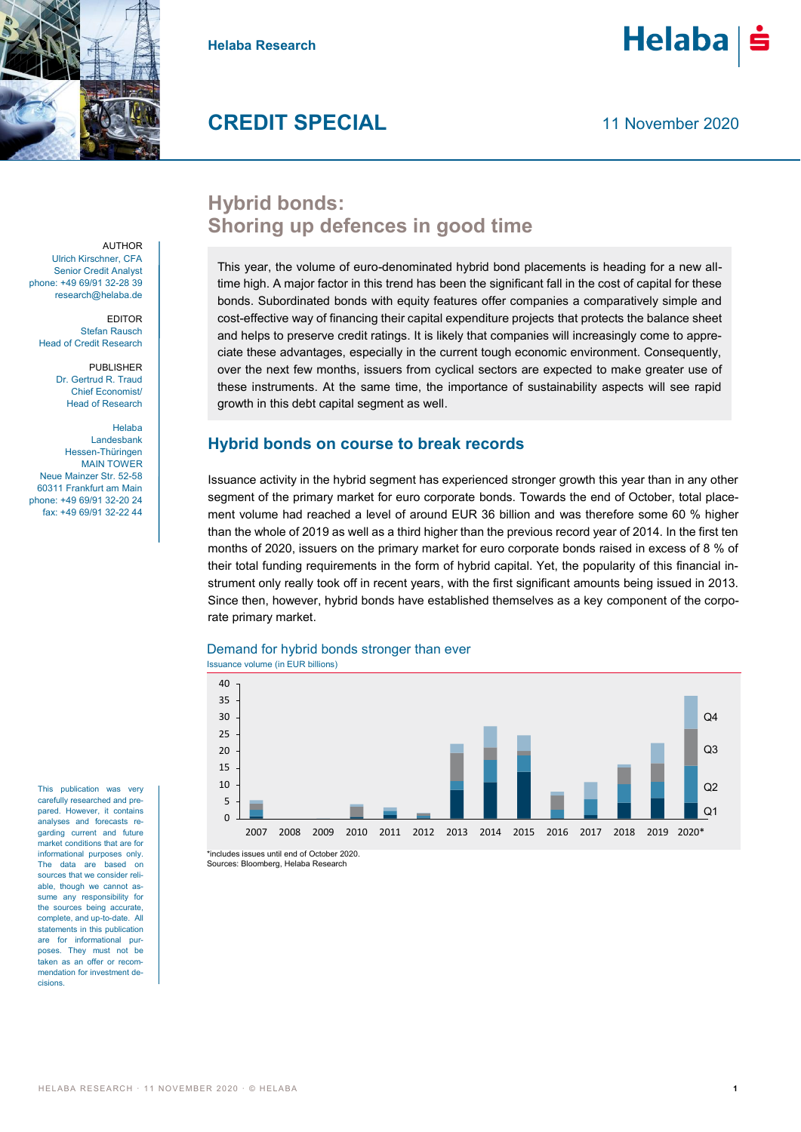

**Helaba Research**

# Helaba

## **CREDIT SPECIAL**

11 November 2020

## **Hybrid bonds: Shoring up defences in good time**

This year, the volume of euro-denominated hybrid bond placements is heading for a new alltime high. A major factor in this trend has been the significant fall in the cost of capital for these bonds. Subordinated bonds with equity features offer companies a comparatively simple and cost-effective way of financing their capital expenditure projects that protects the balance sheet and helps to preserve credit ratings. It is likely that companies will increasingly come to appreciate these advantages, especially in the current tough economic environment. Consequently, over the next few months, issuers from cyclical sectors are expected to make greater use of these instruments. At the same time, the importance of sustainability aspects will see rapid growth in this debt capital segment as well.

#### **Hybrid bonds on course to break records**

Issuance activity in the hybrid segment has experienced stronger growth this year than in any other segment of the primary market for euro corporate bonds. Towards the end of October, total placement volume had reached a level of around EUR 36 billion and was therefore some 60 % higher than the whole of 2019 as well as a third higher than the previous record year of 2014. In the first ten months of 2020, issuers on the primary market for euro corporate bonds raised in excess of 8 % of their total funding requirements in the form of hybrid capital. Yet, the popularity of this financial instrument only really took off in recent years, with the first significant amounts being issued in 2013. Since then, however, hybrid bonds have established themselves as a key component of the corporate primary market.

#### Demand for hybrid bonds stronger than ever

Issuance volume (in EUR billions)



Sources: Bloomberg, Helaba Research

**AUTHOR** Ulrich Kirschner, CFA Senior Credit Analyst phone: +49 69/91 32-28 39 research@helaba.de

EDITOR Stefan Rausch Head of Credit Research

> PUBLISHER Dr. Gertrud R. Traud Chief Economist/ Head of Research

Helaba Landesbank Hessen-Thüringen MAIN TOWER Neue Mainzer Str. 52-58 60311 Frankfurt am Main phone: +49 69/91 32-20 24 fax: +49 69/91 32-22 44

This publication was very carefully researched and prepared. However, it contains analyses and forecasts regarding current and future market conditions that are for informational purposes only. The data are based on sources that we consider reliable, though we cannot assume any responsibility for the sources being accurate, complete, and up-to-date. All statements in this publication are for informational purposes. They must not be taken as an offer or recommendation for investment decisions.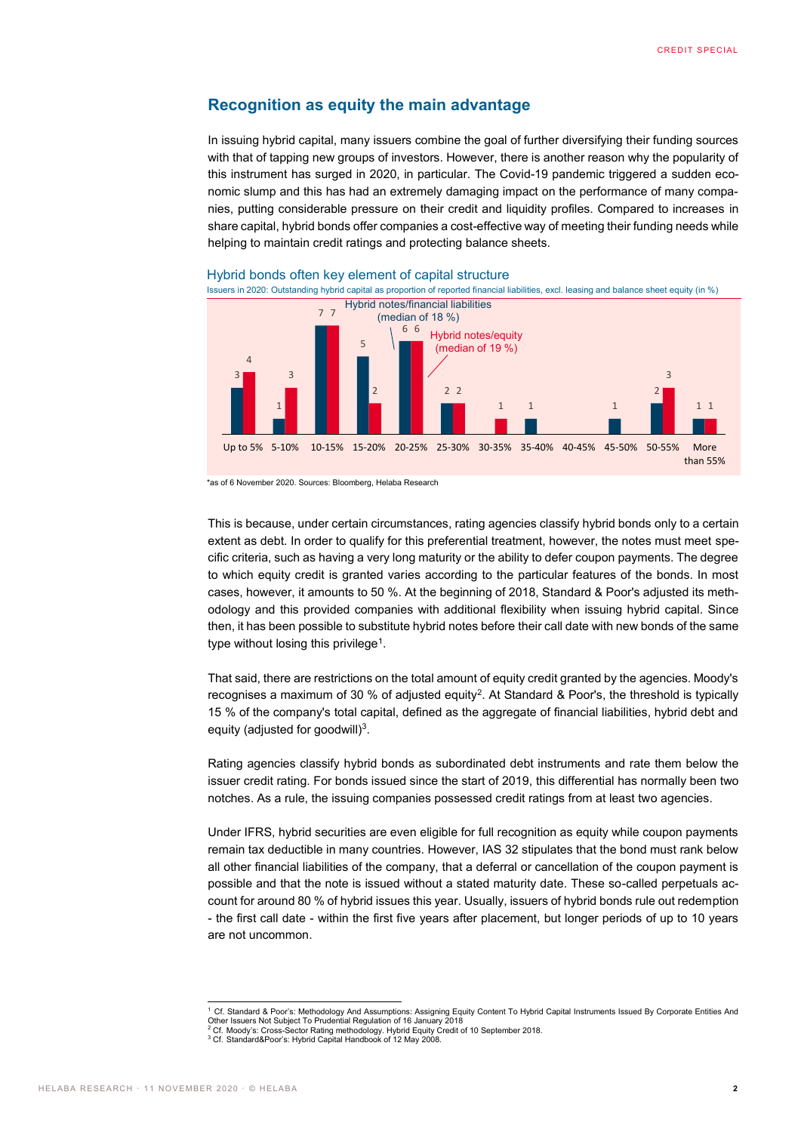#### **Recognition as equity the main advantage**

In issuing hybrid capital, many issuers combine the goal of further diversifying their funding sources with that of tapping new groups of investors. However, there is another reason why the popularity of this instrument has surged in 2020, in particular. The Covid-19 pandemic triggered a sudden economic slump and this has had an extremely damaging impact on the performance of many companies, putting considerable pressure on their credit and liquidity profiles. Compared to increases in share capital, hybrid bonds offer companies a cost-effective way of meeting their funding needs while helping to maintain credit ratings and protecting balance sheets.



\*as of 6 November 2020. Sources: Bloomberg, Helaba Research

This is because, under certain circumstances, rating agencies classify hybrid bonds only to a certain extent as debt. In order to qualify for this preferential treatment, however, the notes must meet specific criteria, such as having a very long maturity or the ability to defer coupon payments. The degree to which equity credit is granted varies according to the particular features of the bonds. In most cases, however, it amounts to 50 %. At the beginning of 2018, Standard & Poor's adjusted its methodology and this provided companies with additional flexibility when issuing hybrid capital. Since then, it has been possible to substitute hybrid notes before their call date with new bonds of the same type without losing this privilege<sup>1</sup>.

That said, there are restrictions on the total amount of equity credit granted by the agencies. Moody's recognises a maximum of 30 % of adjusted equity<sup>2</sup>. At Standard & Poor's, the threshold is typically 15 % of the company's total capital, defined as the aggregate of financial liabilities, hybrid debt and equity (adjusted for goodwill) $3$ .

Rating agencies classify hybrid bonds as subordinated debt instruments and rate them below the issuer credit rating. For bonds issued since the start of 2019, this differential has normally been two notches. As a rule, the issuing companies possessed credit ratings from at least two agencies.

Under IFRS, hybrid securities are even eligible for full recognition as equity while coupon payments remain tax deductible in many countries. However, IAS 32 stipulates that the bond must rank below all other financial liabilities of the company, that a deferral or cancellation of the coupon payment is possible and that the note is issued without a stated maturity date. These so-called perpetuals account for around 80 % of hybrid issues this year. Usually, issuers of hybrid bonds rule out redemption - the first call date - within the first five years after placement, but longer periods of up to 10 years are not uncommon.

 <sup>1</sup> Cf. Standard & Poor's: Methodology And Assumptions: Assigning Equity Content To Hybrid Capital Instruments Issued By Corporate Entities And Other Issuers Not Subject To Prudential Regulation of 16 January 2018 <sup>2</sup> Cf. Moody's: Cross-Sector Rating methodology. Hybrid Equity Credit of 10 September 2018.

<sup>&</sup>lt;sup>3</sup> Cf. Standard&Poor's: Hybrid Capital Handbook of 12 May 2008.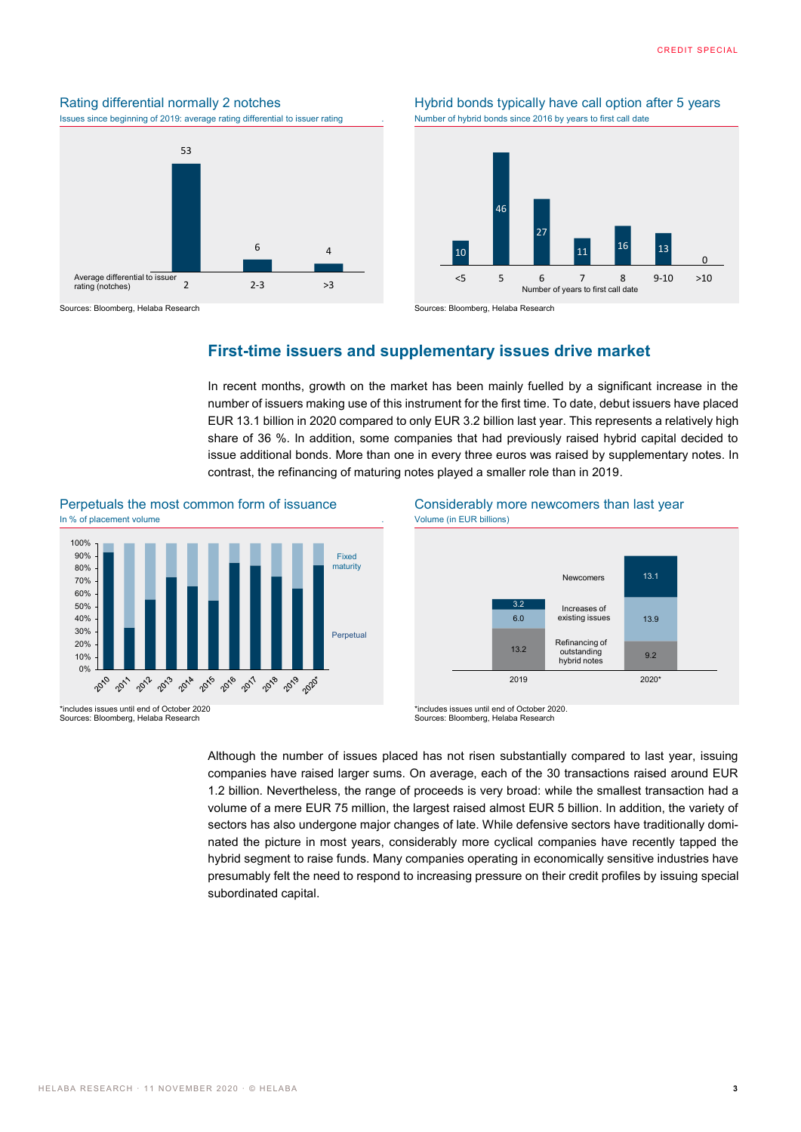



Sources: Bloomberg, Helaba Research Sources: Bloomberg, Helaba Research

Rating differential normally 2 notches Hybrid bonds typically have call option after 5 years<br>
Issues since beginning of 2019: average rating differential to issuer rating Number of hybrid bonds since 2016 by years to first



#### **First-time issuers and supplementary issues drive market**

In recent months, growth on the market has been mainly fuelled by a significant increase in the number of issuers making use of this instrument for the first time. To date, debut issuers have placed EUR 13.1 billion in 2020 compared to only EUR 3.2 billion last year. This represents a relatively high share of 36 %. In addition, some companies that had previously raised hybrid capital decided to issue additional bonds. More than one in every three euros was raised by supplementary notes. In contrast, the refinancing of maturing notes played a smaller role than in 2019.



\*includes issues until end of October 2020 Sources: Bloomberg, Helaba Research



<sup>\*</sup>includes issues until end of October 2020. Sources: Bloomberg, Helaba Research

Although the number of issues placed has not risen substantially compared to last year, issuing companies have raised larger sums. On average, each of the 30 transactions raised around EUR 1.2 billion. Nevertheless, the range of proceeds is very broad: while the smallest transaction had a volume of a mere EUR 75 million, the largest raised almost EUR 5 billion. In addition, the variety of sectors has also undergone major changes of late. While defensive sectors have traditionally dominated the picture in most years, considerably more cyclical companies have recently tapped the hybrid segment to raise funds. Many companies operating in economically sensitive industries have presumably felt the need to respond to increasing pressure on their credit profiles by issuing special subordinated capital.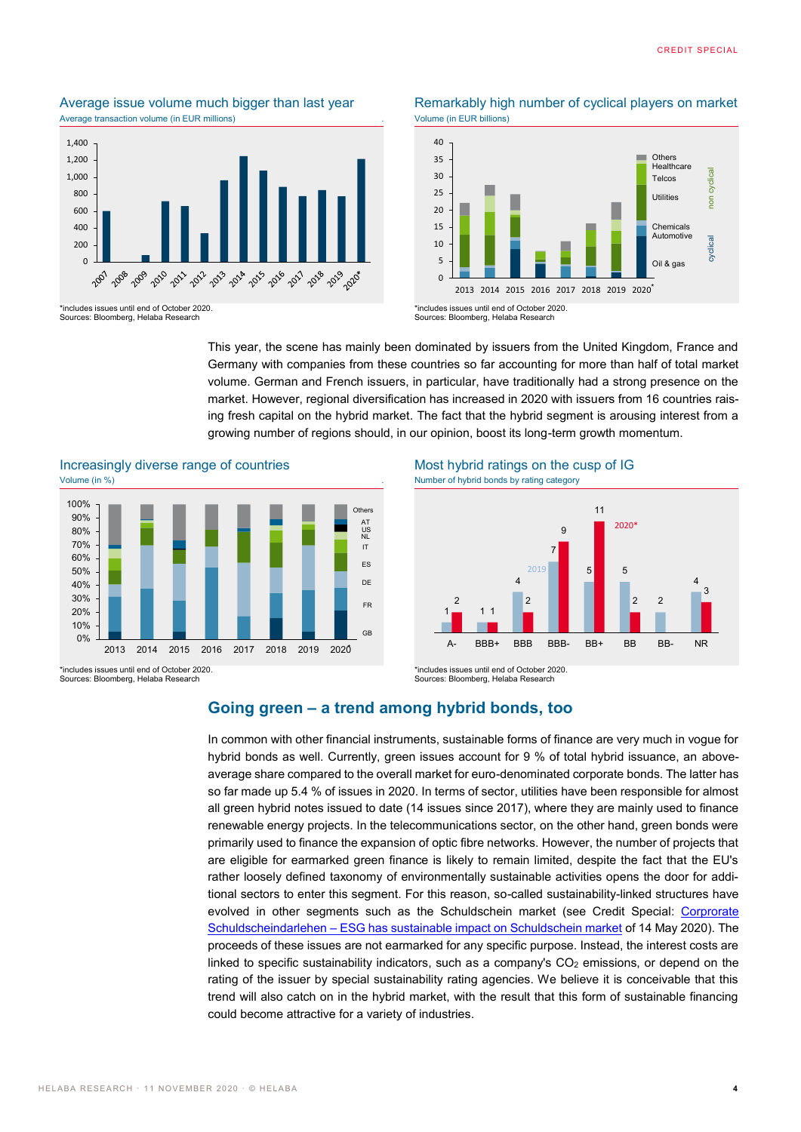## Average transaction volume (in EUR millions)



Sources: Bloomberg, Helaba Research





Sources: Bloomberg, Helaba Research

This year, the scene has mainly been dominated by issuers from the United Kingdom, France and Germany with companies from these countries so far accounting for more than half of total market volume. German and French issuers, in particular, have traditionally had a strong presence on the market. However, regional diversification has increased in 2020 with issuers from 16 countries raising fresh capital on the hybrid market. The fact that the hybrid segment is arousing interest from a growing number of regions should, in our opinion, boost its long-term growth momentum.





\*includes issues until end of October 2020. Sources: Bloomberg, Helaba Research

Increasingly diverse range of countries Most hybrid ratings on the cusp of IG



\*includes issues until end of October 2020. Sources: Bloomberg, Helaba Research

#### **Going green – a trend among hybrid bonds, too**

In common with other financial instruments, sustainable forms of finance are very much in vogue for hybrid bonds as well. Currently, green issues account for 9 % of total hybrid issuance, an aboveaverage share compared to the overall market for euro-denominated corporate bonds. The latter has so far made up 5.4 % of issues in 2020. In terms of sector, utilities have been responsible for almost all green hybrid notes issued to date (14 issues since 2017), where they are mainly used to finance renewable energy projects. In the telecommunications sector, on the other hand, green bonds were primarily used to finance the expansion of optic fibre networks. However, the number of projects that are eligible for earmarked green finance is likely to remain limited, despite the fact that the EU's rather loosely defined taxonomy of environmentally sustainable activities opens the door for additional sectors to enter this segment. For this reason, so-called sustainability-linked structures have evolved in other segments such as the Schuldschein market (see Credit Special: [Corprorate](https://www.helaba.de/blueprint/servlet/resource/blob/docs/525284/35aca1c11922ec45842041372d7c33f1/cs-20200514-data.pdf)  Schuldscheindarlehen – [ESG has sustainable impact on Schuldschein market](https://www.helaba.de/blueprint/servlet/resource/blob/docs/525284/35aca1c11922ec45842041372d7c33f1/cs-20200514-data.pdf) of 14 May 2020). The proceeds of these issues are not earmarked for any specific purpose. Instead, the interest costs are linked to specific sustainability indicators, such as a company's  $CO<sub>2</sub>$  emissions, or depend on the rating of the issuer by special sustainability rating agencies. We believe it is conceivable that this trend will also catch on in the hybrid market, with the result that this form of sustainable financing could become attractive for a variety of industries.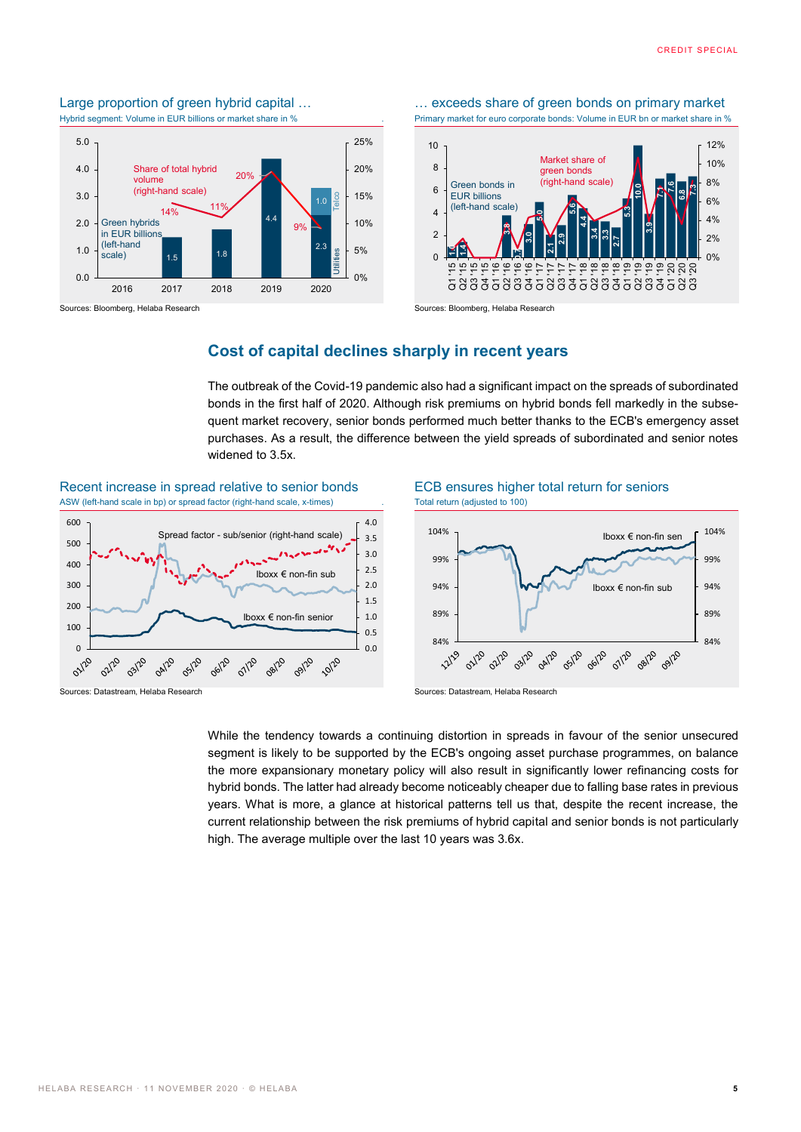## Large proportion of green hybrid capital ... **Exceeds share of green bonds on primary market**



Sources: Bloomberg, Helaba Research Sources: Bloomberg, Helaba Research Sources: Bloomberg, Helaba Research

Hybrid segment: Volume in EUR billions or market share in % . Primary market for euro corporate bonds: Volume in EUR bn or market share in %





### **Cost of capital declines sharply in recent years**

The outbreak of the Covid-19 pandemic also had a significant impact on the spreads of subordinated bonds in the first half of 2020. Although risk premiums on hybrid bonds fell markedly in the subsequent market recovery, senior bonds performed much better thanks to the ECB's emergency asset purchases. As a result, the difference between the yield spreads of subordinated and senior notes widened to 3.5x.

Recent increase in spread relative to senior bonds ECB ensures higher total return for seniors ASW (left-hand scale in bp) or spread factor (right-hand scale, x-times) . Total return (adjusted to 100)





While the tendency towards a continuing distortion in spreads in favour of the senior unsecured segment is likely to be supported by the ECB's ongoing asset purchase programmes, on balance the more expansionary monetary policy will also result in significantly lower refinancing costs for hybrid bonds. The latter had already become noticeably cheaper due to falling base rates in previous years. What is more, a glance at historical patterns tell us that, despite the recent increase, the current relationship between the risk premiums of hybrid capital and senior bonds is not particularly high. The average multiple over the last 10 years was 3.6x.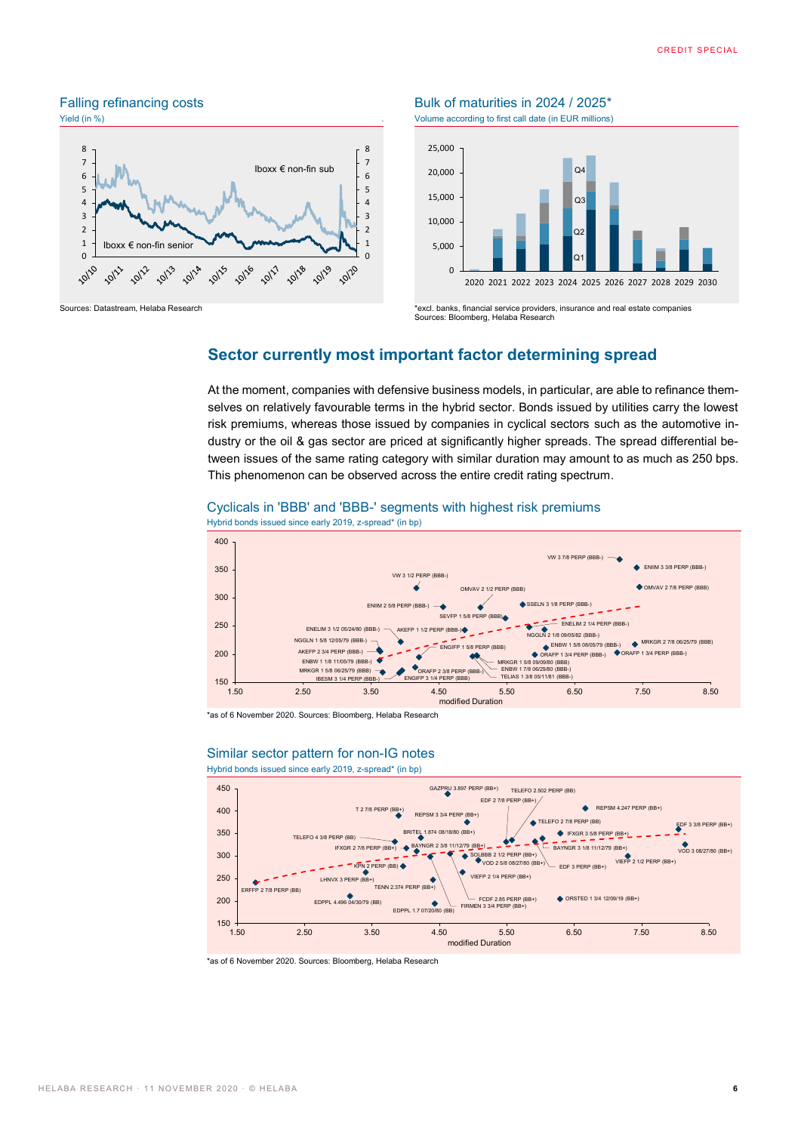

#### Falling refinancing costs Bulk of maturities in 2024 / 2025<sup>\*</sup> Yield (in %) **Yield** (in %) **We according to first call date (in EUR millions)**





Sources: Datastream, Helaba Research **\*excl. banks, financial service providers**, insurance and real estate companies Sources: Bloomberg, Helaba Research

### **Sector currently most important factor determining spread**

At the moment, companies with defensive business models, in particular, are able to refinance themselves on relatively favourable terms in the hybrid sector. Bonds issued by utilities carry the lowest risk premiums, whereas those issued by companies in cyclical sectors such as the automotive industry or the oil & gas sector are priced at significantly higher spreads. The spread differential between issues of the same rating category with similar duration may amount to as much as 250 bps. This phenomenon can be observed across the entire credit rating spectrum.

#### Cyclicals in 'BBB' and 'BBB-' segments with highest risk premiums



Hybrid bonds issued since early 2019, z-spread\* (in bp)

\*as of 6 November 2020. Sources: Bloomberg, Helaba Research



1.50 2.50 3.50 4.50 5.50 6.50 7.50 8.50 modified Duration

#### Similar sector pattern for non-IG notes Hybrid bonds issued since early 2019, z-spread\* (in bp)

\*as of 6 November 2020. Sources: Bloomberg, Helaba Research